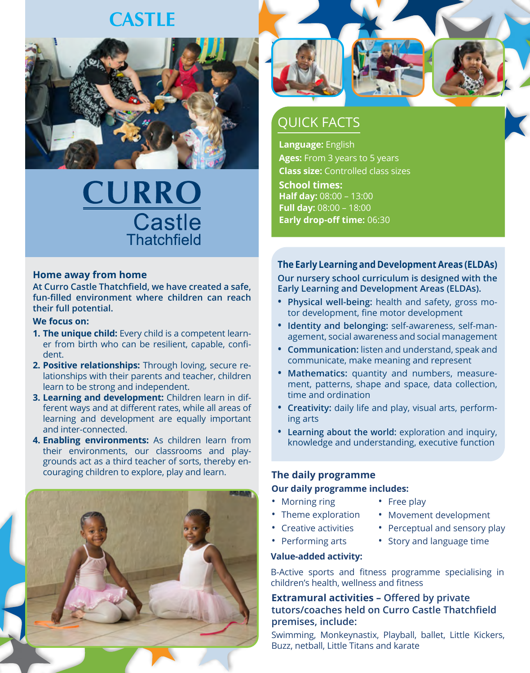# **CASTLE**



# **CURRO Castle Thatchfield**

### **Home away from home**

**At Curro Castle Thatchfield, we have created a safe, fun-filled environment where children can reach their full potential.**

#### **We focus on:**

- **1. The unique child:** Every child is a competent learner from birth who can be resilient, capable, confident.
- **2. Positive relationships:** Through loving, secure relationships with their parents and teacher, children learn to be strong and independent.
- **3. Learning and development:** Children learn in different ways and at different rates, while all areas of learning and development are equally important and inter-connected.
- **4. Enabling environments:** As children learn from their environments, our classrooms and playgrounds act as a third teacher of sorts, thereby encouraging children to explore, play and learn.





### QUICK FACTS

**Language:** English **Ages:** From 3 years to 5 years **Class size:** Controlled class sizes **School times: Half day:** 08:00 – 13:00 **Full day:** 08:00 – 18:00 **Early drop-off time:** 06:30

**The Early Learning and Development Areas (ELDAs) Our nursery school curriculum is designed with the Early Learning and Development Areas (ELDAs).**

- **• Physical well-being:** health and safety, gross motor development, fine motor development
- **• Identity and belonging:** self-awareness, self-management, social awareness and social management
- **• Communication:** listen and understand, speak and communicate, make meaning and represent
- **• Mathematics:** quantity and numbers, measurement, patterns, shape and space, data collection, time and ordination
- **• Creativity:** daily life and play, visual arts, performing arts
- **• Learning about the world:** exploration and inquiry, knowledge and understanding, executive function

### **The daily programme**

#### **Our daily programme includes:**

- Morning ring
- Free play
- Theme exploration
- Movement development
- Creative activities
- Perceptual and sensory play
- Performing arts
- Story and language time

### **Value-added activity:**

B-Active sports and fitness programme specialising in children's health, wellness and fitness

**Extramural activities – Offered by private tutors/coaches held on Curro Castle Thatchfield premises, include:**

Swimming, Monkeynastix, Playball, ballet, Little Kickers, Buzz, netball, Little Titans and karate